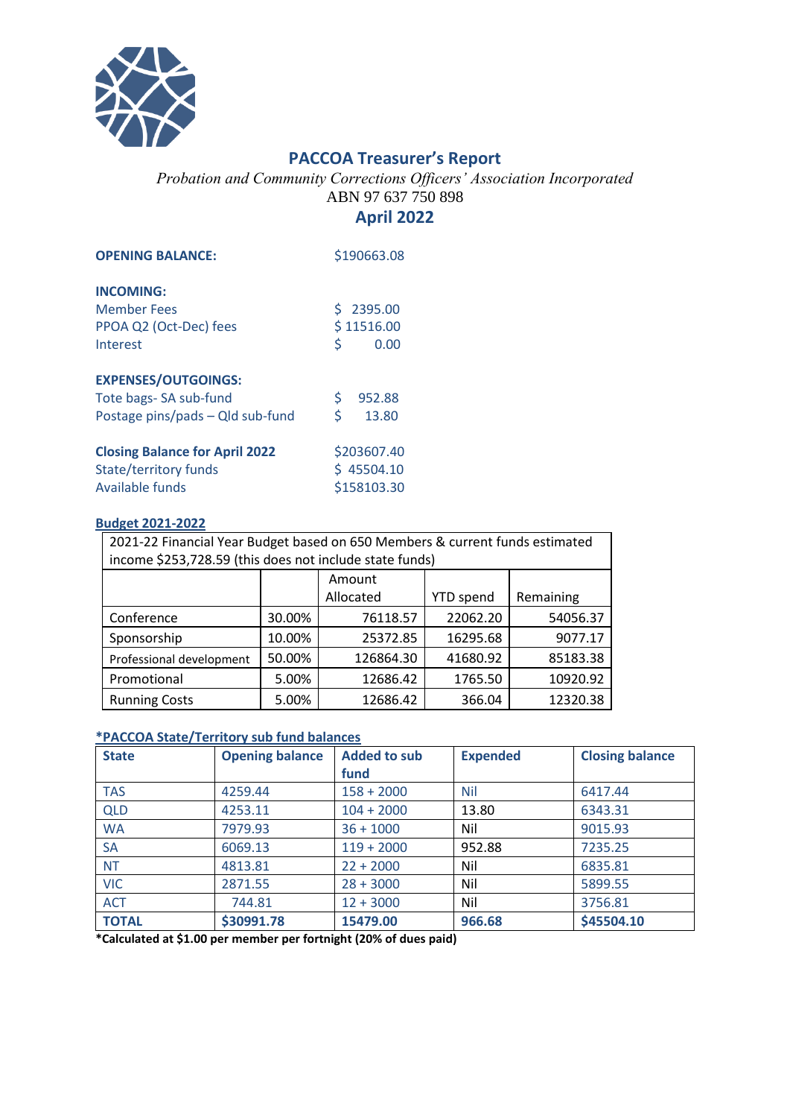

## **PACCOA Treasurer's Report**

*Probation and Community Corrections Officers' Association Incorporated* ABN 97 637 750 898

## **April 2022**

| <b>OPENING BALANCE:</b>               | \$190663.08 |        |  |
|---------------------------------------|-------------|--------|--|
| <b>INCOMING:</b>                      |             |        |  |
| <b>Member Fees</b>                    | \$2395.00   |        |  |
| PPOA Q2 (Oct-Dec) fees                | \$11516.00  |        |  |
| Interest                              | Ś           | 0.00   |  |
| <b>EXPENSES/OUTGOINGS:</b>            |             |        |  |
| Tote bags-SA sub-fund                 | \$          | 952.88 |  |
| Postage pins/pads - Qld sub-fund      | Ś           | 13.80  |  |
| <b>Closing Balance for April 2022</b> | \$203607.40 |        |  |
| State/territory funds                 | \$45504.10  |        |  |
| Available funds                       | \$158103.30 |        |  |

## **Budget 2021-2022**

| 2021-22 Financial Year Budget based on 650 Members & current funds estimated<br>income \$253,728.59 (this does not include state funds) |        |           |                  |           |  |  |
|-----------------------------------------------------------------------------------------------------------------------------------------|--------|-----------|------------------|-----------|--|--|
|                                                                                                                                         |        | Amount    |                  |           |  |  |
|                                                                                                                                         |        | Allocated | <b>YTD</b> spend | Remaining |  |  |
| Conference                                                                                                                              | 30.00% | 76118.57  | 22062.20         | 54056.37  |  |  |
| Sponsorship                                                                                                                             | 10.00% | 25372.85  | 16295.68         | 9077.17   |  |  |
| Professional development                                                                                                                | 50.00% | 126864.30 | 41680.92         | 85183.38  |  |  |
| Promotional                                                                                                                             | 5.00%  | 12686.42  | 1765.50          | 10920.92  |  |  |
| <b>Running Costs</b>                                                                                                                    | 5.00%  | 12686.42  | 366.04           | 12320.38  |  |  |

## **\*PACCOA State/Territory sub fund balances**

| <b>State</b> | <b>Opening balance</b> | <b>Added to sub</b> | <b>Expended</b> | <b>Closing balance</b> |
|--------------|------------------------|---------------------|-----------------|------------------------|
|              |                        | fund                |                 |                        |
| <b>TAS</b>   | 4259.44                | $158 + 2000$        | <b>Nil</b>      | 6417.44                |
| <b>QLD</b>   | 4253.11                | $104 + 2000$        | 13.80           | 6343.31                |
| <b>WA</b>    | 7979.93                | $36 + 1000$         | Nil             | 9015.93                |
| SA           | 6069.13                | $119 + 2000$        | 952.88          | 7235.25                |
| <b>NT</b>    | 4813.81                | $22 + 2000$         | Nil             | 6835.81                |
| <b>VIC</b>   | 2871.55                | $28 + 3000$         | Nil             | 5899.55                |
| <b>ACT</b>   | 744.81                 | $12 + 3000$         | Nil             | 3756.81                |
| <b>TOTAL</b> | \$30991.78             | 15479.00            | 966.68          | \$45504.10             |

**\*Calculated at \$1.00 per member per fortnight (20% of dues paid)**